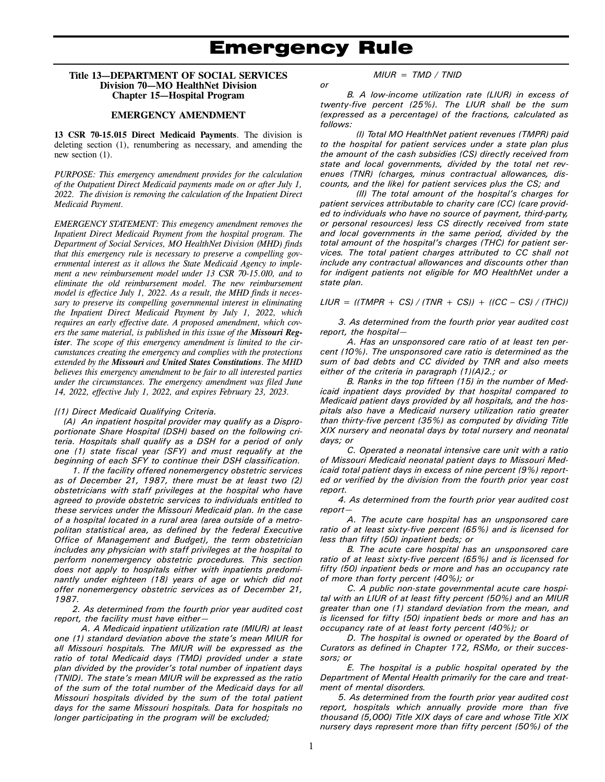#### **Title 13—DEPARTMENT OF SOCIAL SERVICES Division 70—MO HealthNet Division Chapter 15—Hospital Program**

#### **EMERGENCY AMENDMENT**

**13 CSR 70-15.015 Direct Medicaid Payments**. The division is deleting section (1), renumbering as necessary, and amending the new section (1).

*PURPOSE: This emergency amendment provides for the calculation of the Outpatient Direct Medicaid payments made on or after July 1, 2022. The division is removing the calculation of the Inpatient Direct Medicaid Payment.* 

*EMERGENCY STATEMENT: This emegency amendment removes the Inpatient Direct Medicaid Payment from the hospital program. The Department of Social Services, MO HealthNet Division (MHD) finds that this emergency rule is necessary to preserve a compelling governmental interest as it allows the State Medicaid Agency to implement a new reimbursement model under 13 CSR 70-15.010, and to eliminate the old reimbursement model. The new reimbursement model is effectice July 1, 2022. As a result, the MHD finds it necessary to preserve its compelling governmental interest in eliminating the Inpatient Direct Medicaid Payment by July 1, 2022, which requires an early effective date. A proposed amendment, which covers the same material, is published in this issue of the Missouri Register. The scope of this emergency amendment is limited to the circumstances creating the emergency and complies with the protections extended by the Missouri and United States Constitutions. The MHD believes this emergency amendment to be fair to all interested parties under the circumstances. The emergency amendment was filed June 14, 2022, effective July 1, 2022, and expires February 23, 2023.* 

#### *[(1) Direct Medicaid Qualifying Criteria.*

*(A) An inpatient hospital provider may qualify as a Disproportionate Share Hospital (DSH) based on the following criteria. Hospitals shall qualify as a DSH for a period of only one (1) state fiscal year (SFY) and must requalify at the beginning of each SFY to continue their DSH classification.* 

*1. If the facility offered nonemergency obstetric services as of December 21, 1987, there must be at least two (2) obstetricians with staff privileges at the hospital who have agreed to provide obstetric services to individuals entitled to these services under the Missouri Medicaid plan. In the case of a hospital located in a rural area (area outside of a metropolitan statistical area, as defined by the federal Executive Office of Management and Budget), the term obstetrician includes any physician with staff privileges at the hospital to perform nonemergency obstetric procedures. This section does not apply to hospitals either with inpatients predominantly under eighteen (18) years of age or which did not offer nonemergency obstetric services as of December 21, 1987.* 

*2. As determined from the fourth prior year audited cost report, the facility must have either—* 

*A. A Medicaid inpatient utilization rate (MIUR) at least one (1) standard deviation above the state's mean MIUR for all Missouri hospitals. The MIUR will be expressed as the ratio of total Medicaid days (TMD) provided under a state plan divided by the provider's total number of inpatient days (TNID). The state's mean MIUR will be expressed as the ratio of the sum of the total number of the Medicaid days for all Missouri hospitals divided by the sum of the total patient days for the same Missouri hospitals. Data for hospitals no longer participating in the program will be excluded;* 

$$
M IUR = TMD / TNID
$$

*or* 

*B. A low-income utilization rate (LIUR) in excess of twenty-five percent (25%). The LIUR shall be the sum (expressed as a percentage) of the fractions, calculated as follows:* 

*(I) Total MO HealthNet patient revenues (TMPR) paid to the hospital for patient services under a state plan plus the amount of the cash subsidies (CS) directly received from state and local governments, divided by the total net revenues (TNR) (charges, minus contractual allowances, discounts, and the like) for patient services plus the CS; and* 

*(II) The total amount of the hospital's charges for patient services attributable to charity care (CC) (care provided to individuals who have no source of payment, third-party, or personal resources) less CS directly received from state and local governments in the same period, divided by the total amount of the hospital's charges (THC) for patient services. The total patient charges attributed to CC shall not include any contractual allowances and discounts other than for indigent patients not eligible for MO HealthNet under a state plan.* 

*LIUR = ((TMPR + CS) / (TNR + CS)) + ((CC – CS) / (THC))* 

*3. As determined from the fourth prior year audited cost report, the hospital—* 

*A. Has an unsponsored care ratio of at least ten percent (10%). The unsponsored care ratio is determined as the sum of bad debts and CC divided by TNR and also meets either of the criteria in paragraph (1)(A)2.; or* 

*B. Ranks in the top fifteen (15) in the number of Medicaid inpatient days provided by that hospital compared to Medicaid patient days provided by all hospitals, and the hospitals also have a Medicaid nursery utilization ratio greater than thirty-five percent (35%) as computed by dividing Title XIX nursery and neonatal days by total nursery and neonatal days; or* 

*C. Operated a neonatal intensive care unit with a ratio of Missouri Medicaid neonatal patient days to Missouri Medicaid total patient days in excess of nine percent (9%) reported or verified by the division from the fourth prior year cost report.* 

*4. As determined from the fourth prior year audited cost report—* 

*A. The acute care hospital has an unsponsored care ratio of at least sixty-five percent (65%) and is licensed for less than fifty (50) inpatient beds; or* 

*B. The acute care hospital has an unsponsored care ratio of at least sixty-five percent (65%) and is licensed for fifty (50) inpatient beds or more and has an occupancy rate of more than forty percent (40%); or* 

*C. A public non-state governmental acute care hospital with an LIUR of at least fifty percent (50%) and an MIUR greater than one (1) standard deviation from the mean, and is licensed for fifty (50) inpatient beds or more and has an occupancy rate of at least forty percent (40%); or* 

*D. The hospital is owned or operated by the Board of Curators as defined in Chapter 172, RSMo, or their successors; or* 

*E. The hospital is a public hospital operated by the Department of Mental Health primarily for the care and treatment of mental disorders.* 

*5. As determined from the fourth prior year audited cost report, hospitals which annually provide more than five thousand (5,000) Title XIX days of care and whose Title XIX nursery days represent more than fifty percent (50%) of the*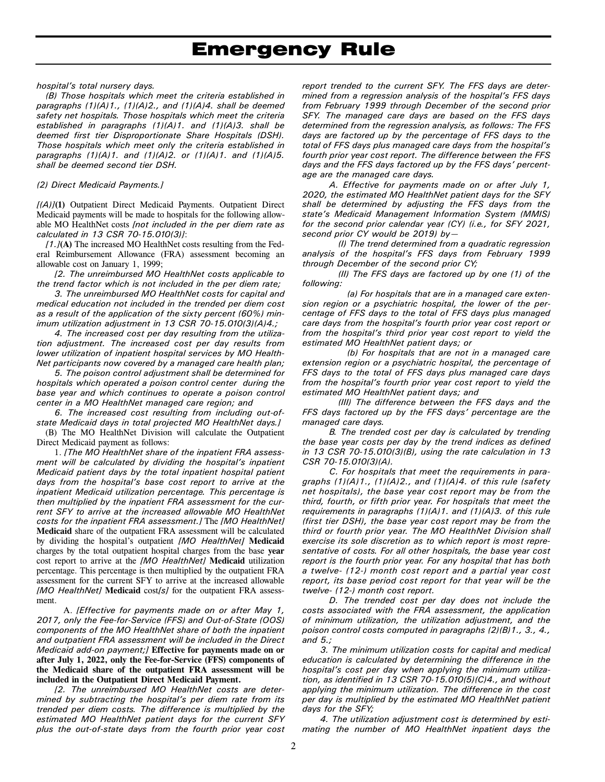# <u>Emergency</u> Rule

*hospital's total nursery days.* 

*(B) Those hospitals which meet the criteria established in paragraphs (1)(A)1., (1)(A)2., and (1)(A)4. shall be deemed safety net hospitals. Those hospitals which meet the criteria established in paragraphs (1)(A)1. and (1)(A)3. shall be deemed first tier Disproportionate Share Hospitals (DSH). Those hospitals which meet only the criteria established in paragraphs (1)(A)1. and (1)(A)2. or (1)(A)1. and (1)(A)5. shall be deemed second tier DSH.* 

#### *(2) Direct Medicaid Payments.]*

*[(A)]***(1)** Outpatient Direct Medicaid Payments. Outpatient Direct Medicaid payments will be made to hospitals for the following allowable MO HealthNet costs *[not included in the per diem rate as calculated in 13 CSR 70-15.010(3)]*:

*[1.]***(A)** The increased MO HealthNet costs resulting from the Federal Reimbursement Allowance (FRA) assessment becoming an allowable cost on January 1, 1999;

*[2. The unreimbursed MO HealthNet costs applicable to the trend factor which is not included in the per diem rate;* 

*3. The unreimbursed MO HealthNet costs for capital and medical education not included in the trended per diem cost as a result of the application of the sixty percent (60%) minimum utilization adjustment in 13 CSR 70-15.010(3)(A)4.;* 

*4. The increased cost per day resulting from the utilization adjustment. The increased cost per day results from lower utilization of inpatient hospital services by MO Health-Net participants now covered by a managed care health plan;* 

*5. The poison control adjustment shall be determined for hospitals which operated a poison control center during the base year and which continues to operate a poison control center in a MO HealthNet managed care region; and* 

*6. The increased cost resulting from including out-ofstate Medicaid days in total projected MO HealthNet days.]*  (B) The MO HealthNet Division will calculate the Outpatient Direct Medicaid payment as follows:

1. *[The MO HealthNet share of the inpatient FRA assessment will be calculated by dividing the hospital's inpatient Medicaid patient days by the total inpatient hospital patient days from the hospital's base cost report to arrive at the inpatient Medicaid utilization percentage. This percentage is then multiplied by the inpatient FRA assessment for the current SFY to arrive at the increased allowable MO HealthNet costs for the inpatient FRA assessment.]* The *[MO HealthNet]*  **Medicaid** share of the outpatient FRA assessment will be calculated by dividing the hospital's outpatient *[MO HealthNet]* **Medicaid**  charges by the total outpatient hospital charges from the base **year**  cost report to arrive at the *[MO HealthNet]* **Medicaid** utilization percentage. This percentage is then multiplied by the outpatient FRA assessment for the current SFY to arrive at the increased allowable *[MO HealthNet]* **Medicaid** cost*[s]* for the outpatient FRA assessment.

A. *[Effective for payments made on or after May 1, 2017, only the Fee-for-Service (FFS) and Out-of-State (OOS) components of the MO HealthNet share of both the inpatient and outpatient FRA assessment will be included in the Direct Medicaid add-on payment;]* **Effective for payments made on or after July 1, 2022, only the Fee-for-Service (FFS) components of the Medicaid share of the outpatient FRA assessment will be included in the Outpatient Direct Medicaid Payment.**

*[2. The unreimbursed MO HealthNet costs are determined by subtracting the hospital's per diem rate from its trended per diem costs. The difference is multiplied by the estimated MO HealthNet patient days for the current SFY plus the out-of-state days from the fourth prior year cost*  *report trended to the current SFY. The FFS days are determined from a regression analysis of the hospital's FFS days from February 1999 through December of the second prior SFY. The managed care days are based on the FFS days determined from the regression analysis, as follows: The FFS days are factored up by the percentage of FFS days to the total of FFS days plus managed care days from the hospital's fourth prior year cost report. The difference between the FFS days and the FFS days factored up by the FFS days' percentage are the managed care days.* 

*A. Effective for payments made on or after July 1, 2020, the estimated MO HealthNet patient days for the SFY shall be determined by adjusting the FFS days from the state's Medicaid Management Information System (MMIS) for the second prior calendar year (CY) (i.e., for SFY 2021, second prior CY would be 2019) by—* 

*(I) The trend determined from a quadratic regression analysis of the hospital's FFS days from February 1999 through December of the second prior CY;* 

*(II) The FFS days are factored up by one (1) of the following:* 

*(a) For hospitals that are in a managed care extension region or a psychiatric hospital, the lower of the percentage of FFS days to the total of FFS days plus managed care days from the hospital's fourth prior year cost report or from the hospital's third prior year cost report to yield the estimated MO HealthNet patient days; or* 

*(b) For hospitals that are not in a managed care extension region or a psychiatric hospital, the percentage of FFS days to the total of FFS days plus managed care days from the hospital's fourth prior year cost report to yield the estimated MO HealthNet patient days; and* 

*(III) The difference between the FFS days and the FFS days factored up by the FFS days' percentage are the managed care days.* 

*B. The trended cost per day is calculated by trending the base year costs per day by the trend indices as defined in 13 CSR 70-15.010(3)(B), using the rate calculation in 13 CSR 70-15.010(3)(A).* 

*C. For hospitals that meet the requirements in paragraphs (1)(A)1., (1)(A)2., and (1)(A)4. of this rule (safety net hospitals), the base year cost report may be from the third, fourth, or fifth prior year. For hospitals that meet the requirements in paragraphs (1)(A)1. and (1)(A)3. of this rule (first tier DSH), the base year cost report may be from the third or fourth prior year. The MO HealthNet Division shall exercise its sole discretion as to which report is most representative of costs. For all other hospitals, the base year cost report is the fourth prior year. For any hospital that has both a twelve- (12-) month cost report and a partial year cost report, its base period cost report for that year will be the twelve- (12-) month cost report.* 

*D. The trended cost per day does not include the costs associated with the FRA assessment, the application of minimum utilization, the utilization adjustment, and the poison control costs computed in paragraphs (2)(B)1., 3., 4., and 5.;* 

*3. The minimum utilization costs for capital and medical education is calculated by determining the difference in the hospital's cost per day when applying the minimum utilization, as identified in 13 CSR 70-15.010(5)(C)4., and without applying the minimum utilization. The difference in the cost per day is multiplied by the estimated MO HealthNet patient days for the SFY;* 

*4. The utilization adjustment cost is determined by estimating the number of MO HealthNet inpatient days the*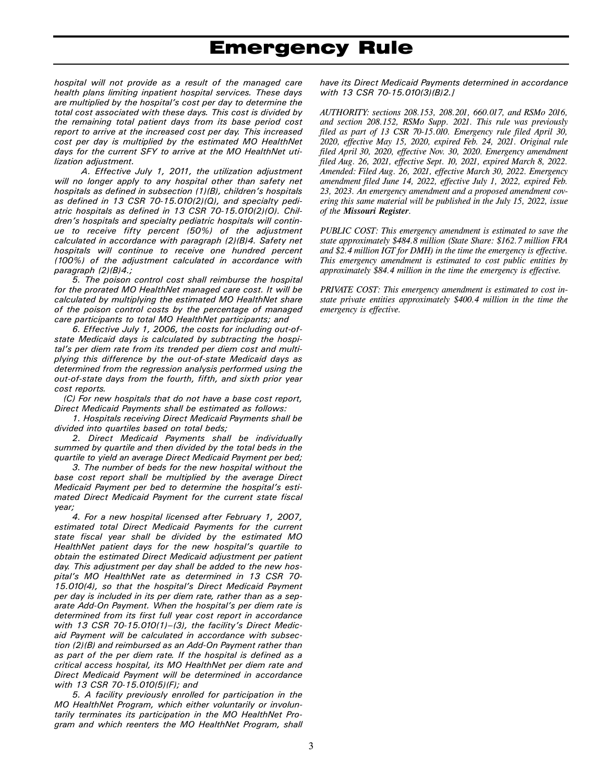*hospital will not provide as a result of the managed care health plans limiting inpatient hospital services. These days are multiplied by the hospital's cost per day to determine the total cost associated with these days. This cost is divided by the remaining total patient days from its base period cost report to arrive at the increased cost per day. This increased cost per day is multiplied by the estimated MO HealthNet days for the current SFY to arrive at the MO HealthNet utilization adjustment.* 

*A. Effective July 1, 2011, the utilization adjustment will no longer apply to any hospital other than safety net hospitals as defined in subsection (1)(B), children's hospitals as defined in 13 CSR 70-15.010(2)(Q), and specialty pediatric hospitals as defined in 13 CSR 70-15.010(2)(O). Children's hospitals and specialty pediatric hospitals will continue to receive fifty percent (50%) of the adjustment calculated in accordance with paragraph (2)(B)4. Safety net hospitals will continue to receive one hundred percent (100%) of the adjustment calculated in accordance with paragraph (2)(B)4.;* 

*5. The poison control cost shall reimburse the hospital for the prorated MO HealthNet managed care cost. It will be calculated by multiplying the estimated MO HealthNet share of the poison control costs by the percentage of managed care participants to total MO HealthNet participants; and* 

*6. Effective July 1, 2006, the costs for including out-ofstate Medicaid days is calculated by subtracting the hospital's per diem rate from its trended per diem cost and multiplying this difference by the out-of-state Medicaid days as determined from the regression analysis performed using the out-of-state days from the fourth, fifth, and sixth prior year cost reports.* 

*(C) For new hospitals that do not have a base cost report, Direct Medicaid Payments shall be estimated as follows:* 

*1. Hospitals receiving Direct Medicaid Payments shall be divided into quartiles based on total beds;* 

*2. Direct Medicaid Payments shall be individually summed by quartile and then divided by the total beds in the quartile to yield an average Direct Medicaid Payment per bed;* 

*3. The number of beds for the new hospital without the base cost report shall be multiplied by the average Direct Medicaid Payment per bed to determine the hospital's estimated Direct Medicaid Payment for the current state fiscal year;* 

*4. For a new hospital licensed after February 1, 2007, estimated total Direct Medicaid Payments for the current state fiscal year shall be divided by the estimated MO HealthNet patient days for the new hospital's quartile to obtain the estimated Direct Medicaid adjustment per patient day. This adjustment per day shall be added to the new hospital's MO HealthNet rate as determined in 13 CSR 70- 15.010(4), so that the hospital's Direct Medicaid Payment per day is included in its per diem rate, rather than as a separate Add-On Payment. When the hospital's per diem rate is determined from its first full year cost report in accordance with 13 CSR 70-15.010(1)–(3), the facility's Direct Medicaid Payment will be calculated in accordance with subsection (2)(B) and reimbursed as an Add-On Payment rather than as part of the per diem rate. If the hospital is defined as a critical access hospital, its MO HealthNet per diem rate and Direct Medicaid Payment will be determined in accordance with 13 CSR 70-15.010(5)(F); and* 

*5. A facility previously enrolled for participation in the MO HealthNet Program, which either voluntarily or involuntarily terminates its participation in the MO HealthNet Program and which reenters the MO HealthNet Program, shall* 

*have its Direct Medicaid Payments determined in accordance with 13 CSR 70-15.010(3)(B)2.]*

*AUTHORITY: sections 208.153, 208.201, 660.017, and RSMo 2016, and section 208.152, RSMo Supp. 2021. This rule was previously filed as part of 13 CSR 70-15.010. Emergency rule filed April 30, 2020, effective May 15, 2020, expired Feb. 24, 2021. Original rule filed April 30, 2020, effective Nov. 30, 2020. Emergency amendment filed Aug. 26, 2021, effective Sept. 10, 2021, expired March 8, 2022. Amended: Filed Aug. 26, 2021, effective March 30, 2022. Emergency amendment filed June 14, 2022, effective July 1, 2022, expired Feb. 23, 2023. An emergency amendment and a proposed amendment covering this same material will be published in the July 15, 2022, issue of the Missouri Register.* 

*PUBLIC COST: This emergency amendment is estimated to save the state approximately \$484.8 million (State Share: \$162.7 million FRA and \$2.4 million IGT for DMH) in the time the emergency is effective. This emergency amendment is estimated to cost public entities by approximately \$84.4 million in the time the emergency is effective.* 

*PRIVATE COST: This emergency amendment is estimated to cost instate private entities approximately \$400.4 million in the time the emergency is effective.*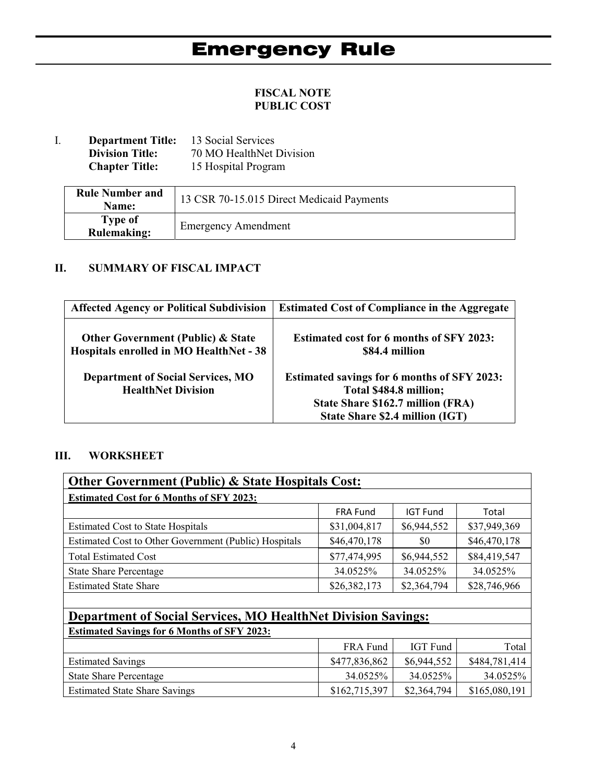# **FISCAL NOTE PUBLIC COST**

I. **Department Title:** 13 Social Services<br>Division Title: 70 MO HealthNet 1 **Division Title:** 70 MO HealthNet Division<br>**Chapter Title:** 15 Hospital Program 15 Hospital Program

| <b>Rule Number and</b><br>Name: | 13 CSR 70-15.015 Direct Medicaid Payments |
|---------------------------------|-------------------------------------------|
| Type of<br><b>Rulemaking:</b>   | <b>Emergency Amendment</b>                |

# **II. SUMMARY OF FISCAL IMPACT**

| <b>Affected Agency or Political Subdivision</b>                                         | <b>Estimated Cost of Compliance in the Aggregate</b>                                                                                                 |
|-----------------------------------------------------------------------------------------|------------------------------------------------------------------------------------------------------------------------------------------------------|
| <b>Other Government (Public) &amp; State</b><br>Hospitals enrolled in MO HealthNet - 38 | <b>Estimated cost for 6 months of SFY 2023:</b><br>\$84.4 million                                                                                    |
| <b>Department of Social Services, MO</b><br><b>HealthNet Division</b>                   | Estimated savings for 6 months of SFY 2023:<br>Total \$484.8 million;<br>State Share \$162.7 million (FRA)<br><b>State Share \$2.4 million (IGT)</b> |

# **III. WORKSHEET**

| <b>Other Government (Public) &amp; State Hospitals Cost:</b>         |                 |                 |              |
|----------------------------------------------------------------------|-----------------|-----------------|--------------|
| <b>Estimated Cost for 6 Months of SFY 2023:</b>                      |                 |                 |              |
|                                                                      | <b>FRA Fund</b> | <b>IGT Fund</b> | Total        |
| <b>Estimated Cost to State Hospitals</b>                             | \$31,004,817    | \$6,944,552     | \$37,949,369 |
| Estimated Cost to Other Government (Public) Hospitals                | \$46,470,178    | \$0             | \$46,470,178 |
| <b>Total Estimated Cost</b>                                          | \$77,474,995    | \$6,944,552     | \$84,419,547 |
| <b>State Share Percentage</b>                                        | 34.0525%        | 34.0525%        | 34.0525%     |
| <b>Estimated State Share</b>                                         | \$26,382,173    | \$2,364,794     | \$28,746,966 |
|                                                                      |                 |                 |              |
| <b>Department of Social Services, MO HealthNet Division Savings:</b> |                 |                 |              |

| <b>Estimated Savings for 6 Months of SFY 2023:</b> |               |             |               |
|----------------------------------------------------|---------------|-------------|---------------|
|                                                    | FRA Fund      | IGT Fund    | Total         |
| <b>Estimated Savings</b>                           | \$477,836,862 | \$6,944,552 | \$484,781,414 |
| <b>State Share Percentage</b>                      | 34.0525%      | 34.0525%    | 34.0525%      |
| <b>Estimated State Share Savings</b>               | \$162,715,397 | \$2,364,794 | \$165,080,191 |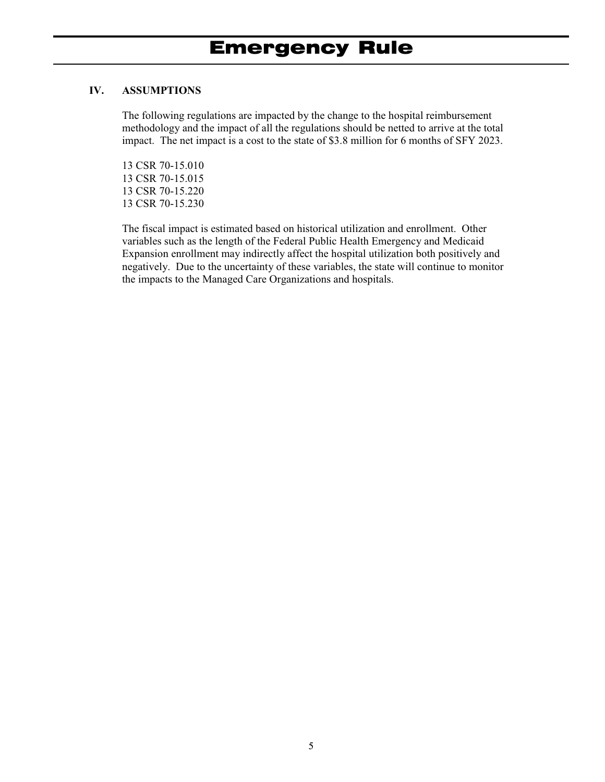## **IV. ASSUMPTIONS**

The following regulations are impacted by the change to the hospital reimbursement methodology and the impact of all the regulations should be netted to arrive at the total impact. The net impact is a cost to the state of \$3.8 million for 6 months of SFY 2023.

13 CSR 70-15.010 13 CSR 70-15.015 13 CSR 70-15.220 13 CSR 70-15.230

The fiscal impact is estimated based on historical utilization and enrollment. Other variables such as the length of the Federal Public Health Emergency and Medicaid Expansion enrollment may indirectly affect the hospital utilization both positively and negatively. Due to the uncertainty of these variables, the state will continue to monitor the impacts to the Managed Care Organizations and hospitals.